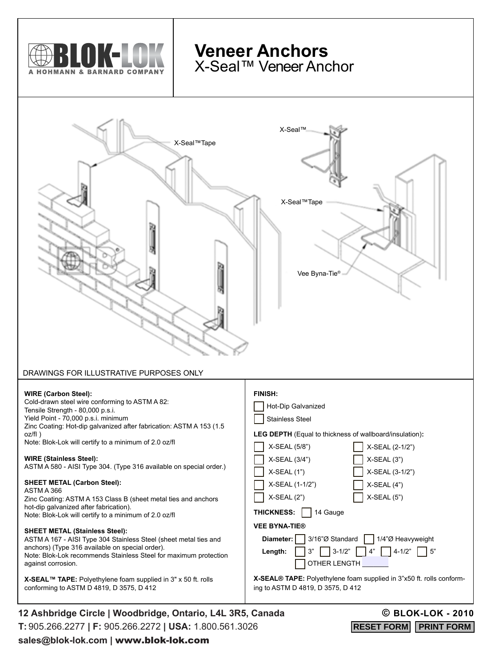

**X-SEAL™ TAPE:** Polyethylene foam supplied in 3" x 50 ft. rolls conforming to ASTM D 4819, D 3575, D 412

## **X-SEAL® TAPE:** Polyethylene foam supplied in 3"x50 ft. rolls conforming to ASTM D 4819, D 3575, D 412

**12 Ashbridge Circle | Woodbridge, Ontario, L4L 3R5, Canada T:** 905.266.2277 **| F:** 905.266.2272 **| USA:** 1.800.561.3026 **sales@blok-lok.com |** www.blok-lok.com

## **© BLOK-LOK - 2010**